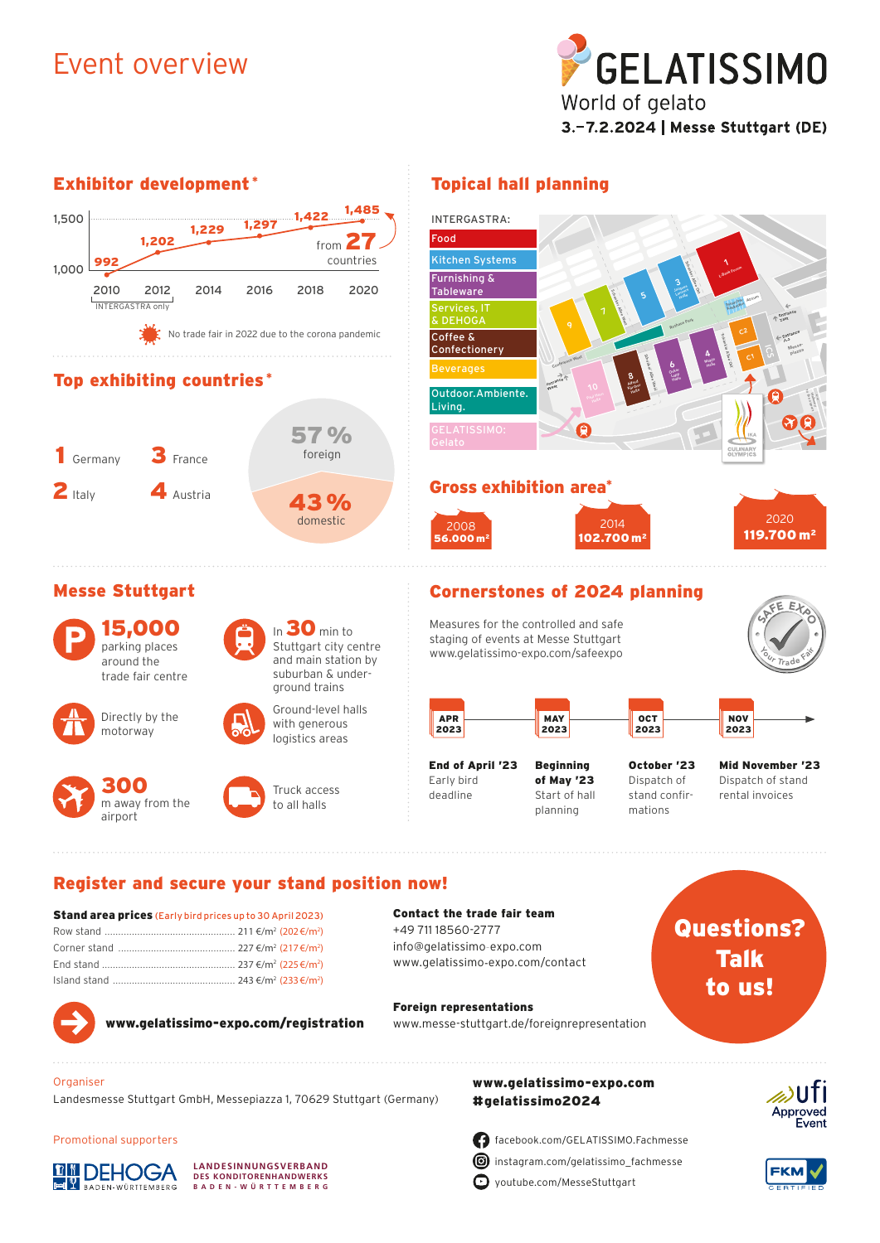### Event overview

Exhibitor development \*

1,500



### Topical hall planning



| <b>Stally at ca prices</b> (Edity bild prices up to 30 April 2023) |  |
|--------------------------------------------------------------------|--|
|                                                                    |  |
|                                                                    |  |
|                                                                    |  |
|                                                                    |  |
|                                                                    |  |





www.gelatissimo-expo.com/registration

www.messe-stuttgart.de/foreignrepresentation

# Talk to us!



Organiser

Promotional supporters

**DEHOGA** 

DEN-WÜRTTEMBERG

Foreign representations

# www.gelatissimo-expo.com



 $\bullet$  voutube.com/MesseStuttgart

facebook.com/GELATISSIMO.Fachmesse instagram.com/gelatissimo\_fachmesse

Approved Event

## **FKM**

**DES KONDITORENHANDWERKS BADEN-WÜR TTEMBERG**

**LANDESINNUNGSVERBAND**

Landesmesse Stuttgart GmbH, Messepiazza 1, 70629 Stuttgart (Germany)